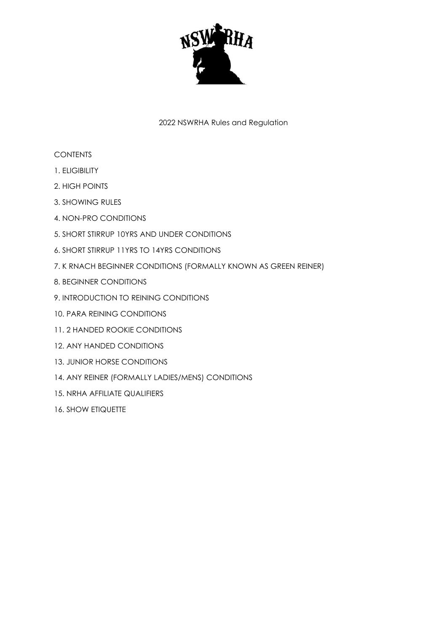

# 2022 NSWRHA Rules and Regulation

# **CONTENTS**

- 1. ELIGIBILITY
- 2. HIGH POINTS
- 3. SHOWING RULES
- 4. NON-PRO CONDITIONS
- 5. SHORT STIRRUP 10YRS AND UNDER CONDITIONS
- 6. SHORT STIRRUP 11YRS TO 14YRS CONDITIONS
- 7. K RNACH BEGINNER CONDITIONS (FORMALLY KNOWN AS GREEN REINER)
- 8. BEGINNER CONDITIONS
- 9. INTRODUCTION TO REINING CONDITIONS
- 10. PARA REINING CONDITIONS
- 11. 2 HANDED ROOKIE CONDITIONS
- 12. ANY HANDED CONDITIONS
- 13. JUNIOR HORSE CONDITIONS
- 14. ANY REINER (FORMALLY LADIES/MENS) CONDITIONS
- 15. NRHA AFFILIATE QUALIFIERS
- 16. SHOW ETIQUETTE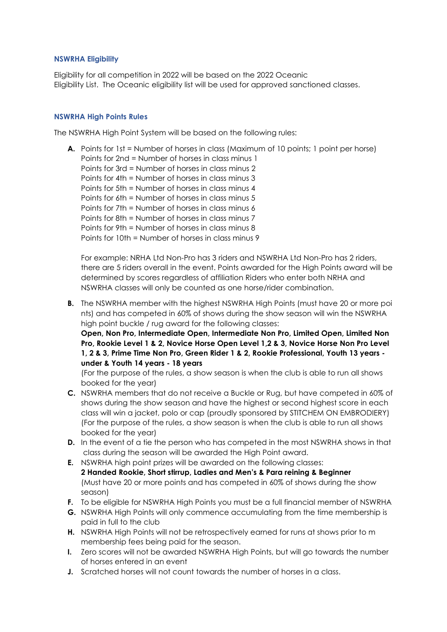#### **NSWRHA Eligibility**

Eligibility for all competition in 2022 will be based on the 2022 Oceanic Eligibility List. The Oceanic eligibility list will be used for approved sanctioned classes.

#### **NSWRHA High Points Rules**

The NSWRHA High Point System will be based on the following rules:

**A.** Points for 1st = Number of horses in class (Maximum of 10 points; 1 point per horse) Points for 2nd = Number of horses in class minus 1 Points for 3rd = Number of horses in class minus 2 Points for 4th = Number of horses in class minus 3 Points for 5th = Number of horses in class minus  $\Delta$ Points for 6th = Number of horses in class minus 5 Points for 7th = Number of horses in class minus 6 Points for 8th = Number of horses in class minus 7 Points for 9th = Number of horses in class minus 8 Points for 10th = Number of horses in class minus 9

For example: NRHA Ltd Non-Pro has 3 riders and NSWRHA Ltd Non-Pro has 2 riders, there are 5 riders overall in the event. Points awarded for the High Points award will be determined by scores regardless of affiliation Riders who enter both NRHA and NSWRHA classes will only be counted as one horse/rider combination.

**B.** The NSWRHA member with the highest NSWRHA High Points (must have 20 or more poi nts) and has competed in 60% of shows during the show season will win the NSWRHA high point buckle / rug award for the following classes:

**Open, Non Pro, Intermediate Open, Intermediate Non Pro, Limited Open, Limited Non Pro, Rookie Level 1 & 2, Novice Horse Open Level 1,2 & 3, Novice Horse Non Pro Level 1, 2 & 3, Prime Time Non Pro, Green Rider 1 & 2, Rookie Professional, Youth 13 years under & Youth 14 years - 18 years**

(For the purpose of the rules, a show season is when the club is able to run all shows booked for the year)

- **C.** NSWRHA members that do not receive a Buckle or Rug, but have competed in 60% of shows during the show season and have the highest or second highest score in each class will win a jacket, polo or cap (proudly sponsored by STITCHEM ON EMBRODIERY) (For the purpose of the rules, a show season is when the club is able to run all shows booked for the year)
- **D.** In the event of a tie the person who has competed in the most NSWRHA shows in that class during the season will be awarded the High Point award.
- **E.** NSWRHA high point prizes will be awarded on the following classes: **2 Handed Rookie, Short stirrup, Ladies and Men's & Para reining & Beginner** (Must have 20 or more points and has competed in 60% of shows during the show season)
- **F.** To be eligible for NSWRHA High Points you must be a full financial member of NSWRHA
- **G.** NSWRHA High Points will only commence accumulating from the time membership is paid in full to the club
- **H.** NSWRHA High Points will not be retrospectively earned for runs at shows prior to m membership fees being paid for the season.
- **I.** Zero scores will not be awarded NSWRHA High Points, but will go towards the number of horses entered in an event
- **J.** Scratched horses will not count towards the number of horses in a class.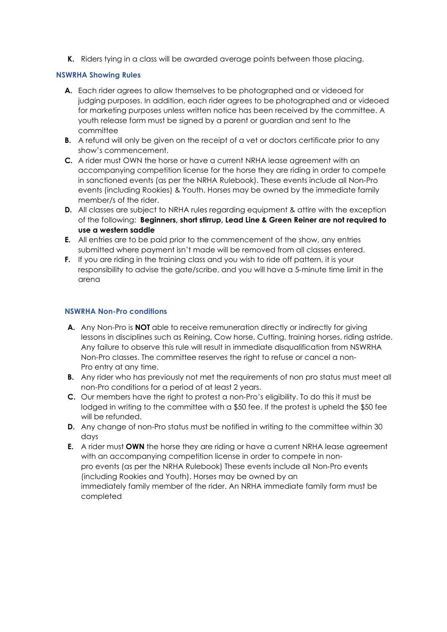**K.** Riders tying in a class will be awarded average points between those placing.

## **NSWRHA Showing Rules**

- **A.** Each rider agrees to allow themselves to be photographed and or videoed for judging purposes. In addition, each rider agrees to be photographed and or videoed for marketing purposes unless written notice has been received by the committee. A youth release form must be signed by a parent or guardian and sent to the committee
- **B.** A refund will only be given on the receipt of a vet or doctors certificate prior to any show's commencement.
- **C.** A rider must OWN the horse or have a current NRHA lease agreement with an accompanying competition license for the horse they are riding in order to compete in sanctioned events (as per the NRHA Rulebook). These events include all Non‐Pro events (including Rookies) & Youth. Horses may be owned by the immediate family member/s of the rider.
- **D.** All classes are subject to NRHA rules regarding equipment & attire with the exception of the following: **Beginners, short stirrup, Lead Line & Green Reiner are not required to use a western saddle**
- **E.** All entries are to be paid prior to the commencement of the show, any entries submitted where payment isn't made will be removed from all classes entered.
- **F.** If you are riding in the training class and you wish to ride off pattern, it is your responsibility to advise the gate/scribe, and you will have a 5‐minute time limit in the arena

## **NSWRHA Non-Pro conditions**

- **A.** Any Non-Pro is **NOT** able to receive remuneration directly or indirectly for giving lessons in disciplines such as Reining, Cow horse, Cutting, training horses, riding astride. Any failure to observe this rule will result in immediate disqualification from NSWRHA Non-Pro classes. The committee reserves the right to refuse or cancel a non-Pro entry at any time.
- **B.** Any rider who has previously not met the requirements of non pro status must meet all non-Pro conditions for a period of at least 2 years.
- **C.** Our members have the right to protest a non-Pro's eligibility. To do this it must be lodged in writing to the committee with a \$50 fee. If the protest is upheld the \$50 fee will be refunded.
- **D.** Any change of non-Pro status must be notified in writing to the committee within 30 days
- **E.** A rider must **OWN** the horse they are riding or have a current NRHA lease agreement with an accompanying competition license in order to compete in nonpro events (as per the NRHA Rulebook) These events include all Non‐Pro events (including Rookies and Youth). Horses may be owned by an immediately family member of the rider. An NRHA immediate family form must be completed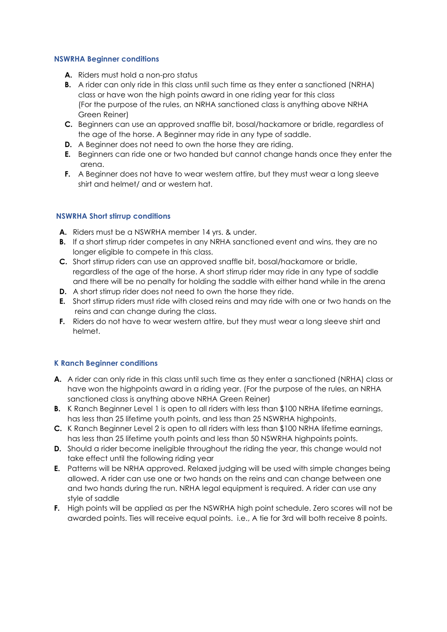#### **NSWRHA Beginner conditions**

- **A.** Riders must hold a non-pro status
- **B.** A rider can only ride in this class until such time as they enter a sanctioned (NRHA) class or have won the high points award in one riding year for this class (For the purpose of the rules, an NRHA sanctioned class is anything above NRHA Green Reiner)
- **C.** Beginners can use an approved snaffle bit, bosal/hackamore or bridle, regardless of the age of the horse. A Beginner may ride in any type of saddle.
- **D.** A Beginner does not need to own the horse they are riding.
- **E.** Beginners can ride one or two handed but cannot change hands once they enter the arena.
- **F.** A Beginner does not have to wear western attire, but they must wear a long sleeve shirt and helmet/ and or western hat.

## **NSWRHA Short stirrup conditions**

- **A.** Riders must be a NSWRHA member 14 yrs. & under.
- **B.** If a short stirrup rider competes in any NRHA sanctioned event and wins, they are no longer eligible to compete in this class.
- **C.** Short stirrup riders can use an approved snaffle bit, bosal/hackamore or bridle, regardless of the age of the horse. A short stirrup rider may ride in any type of saddle and there will be no penalty for holding the saddle with either hand while in the arena
- **D.** A short stirrup rider does not need to own the horse they ride.
- **E.** Short stirrup riders must ride with closed reins and may ride with one or two hands on the reins and can change during the class.
- **F.** Riders do not have to wear western attire, but they must wear a long sleeve shirt and helmet.

## **K Ranch Beginner conditions**

- **A.** A rider can only ride in this class until such time as they enter a sanctioned (NRHA) class or have won the highpoints award in a riding year. (For the purpose of the rules, an NRHA sanctioned class is anything above NRHA Green Reiner)
- **B.** K Ranch Beginner Level 1 is open to all riders with less than \$100 NRHA lifetime earnings, has less than 25 lifetime youth points, and less than 25 NSWRHA highpoints.
- **C.** K Ranch Beginner Level 2 is open to all riders with less than \$100 NRHA lifetime earnings, has less than 25 lifetime youth points and less than 50 NSWRHA highpoints points.
- **D.** Should a rider become ineligible throughout the riding the year, this change would not take effect until the following riding year
- **E.** Patterns will be NRHA approved. Relaxed judging will be used with simple changes being allowed. A rider can use one or two hands on the reins and can change between one and two hands during the run. NRHA legal equipment is required. A rider can use any style of saddle
- **F.** High points will be applied as per the NSWRHA high point schedule. Zero scores will not be awarded points. Ties will receive equal points. i.e., A tie for 3rd will both receive 8 points.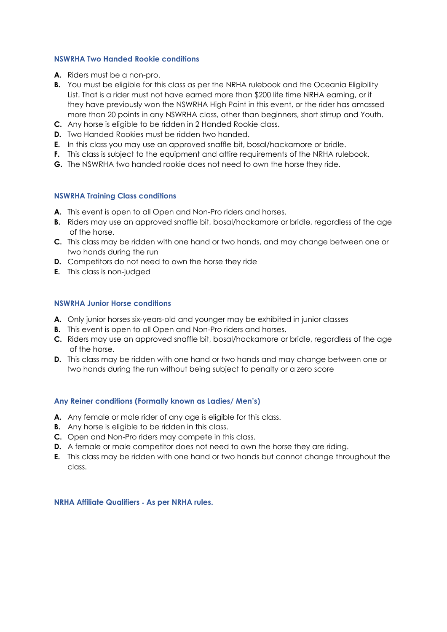#### **NSWRHA Two Handed Rookie conditions**

- **A.** Riders must be a non-pro.
- **B.** You must be eligible for this class as per the NRHA rulebook and the Oceania Eligibility List. That is a rider must not have earned more than \$200 life time NRHA earning, or if they have previously won the NSWRHA High Point in this event, or the rider has amassed more than 20 points in any NSWRHA class, other than beginners, short stirrup and Youth.
- **C.** Any horse is eligible to be ridden in 2 Handed Rookie class.
- **D.** Two Handed Rookies must be ridden two handed.
- **E.** In this class you may use an approved snaffle bit, bosal/hackamore or bridle.
- **F.** This class is subject to the equipment and attire requirements of the NRHA rulebook.
- **G.** The NSWRHA two handed rookie does not need to own the horse they ride.

#### **NSWRHA Training Class conditions**

- **A.** This event is open to all Open and Non-Pro riders and horses.
- **B.** Riders may use an approved snaffle bit, bosal/hackamore or bridle, regardless of the age of the horse.
- **C.** This class may be ridden with one hand or two hands, and may change between one or two hands during the run
- **D.** Competitors do not need to own the horse they ride
- **E.** This class is non-judged

#### **NSWRHA Junior Horse conditions**

- **A.** Only junior horses six‐years‐old and younger may be exhibited in junior classes
- **B.** This event is open to all Open and Non-Pro riders and horses.
- **C.** Riders may use an approved snaffle bit, bosal/hackamore or bridle, regardless of the age of the horse.
- **D.** This class may be ridden with one hand or two hands and may change between one or two hands during the run without being subject to penalty or a zero score

## **Any Reiner conditions (Formally known as Ladies/ Men's)**

- **A.** Any female or male rider of any age is eligible for this class.
- **B.** Any horse is eligible to be ridden in this class.
- **C.** Open and Non-Pro riders may compete in this class.
- **D.** A female or male competitor does not need to own the horse they are riding.
- **E.** This class may be ridden with one hand or two hands but cannot change throughout the class.

**NRHA Affiliate Qualifiers** ‐ **As per NRHA rules.**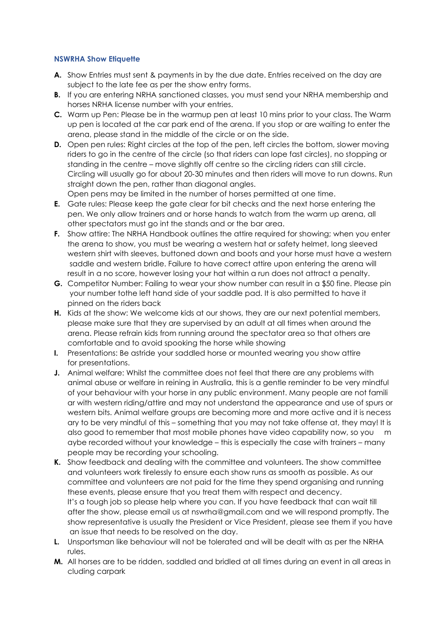## **NSWRHA Show Etiquette**

- **A.** Show Entries must sent & payments in by the due date. Entries received on the day are subject to the late fee as per the show entry forms.
- **B.** If you are entering NRHA sanctioned classes, you must send your NRHA membership and horses NRHA license number with your entries.
- **C.** Warm up Pen: Please be in the warmup pen at least 10 mins prior to your class. The Warm up pen is located at the car park end of the arena. If you stop or are waiting to enter the arena, please stand in the middle of the circle or on the side.
- **D.** Open pen rules: Right circles at the top of the pen, left circles the bottom, slower moving riders to go in the centre of the circle (so that riders can lope fast circles), no stopping or standing in the centre – move slightly off centre so the circling riders can still circle. Circling will usually go for about 20‐30 minutes and then riders will move to run downs. Run straight down the pen, rather than diagonal angles.

Open pens may be limited in the number of horses permitted at one time.

- **E.** Gate rules: Please keep the gate clear for bit checks and the next horse entering the pen. We only allow trainers and or horse hands to watch from the warm up arena, all other spectators must go int the stands and or the bar area.
- **F.** Show attire: The NRHA Handbook outlines the attire required for showing; when you enter the arena to show, you must be wearing a western hat or safety helmet, long sleeved western shirt with sleeves, buttoned down and boots and your horse must have a western saddle and western bridle. Failure to have correct attire upon entering the arena will result in a no score, however losing your hat within a run does not attract a penalty.
- **G.** Competitor Number: Failing to wear your show number can result in a \$50 fine. Please pin your number tothe left hand side of your saddle pad. It is also permitted to have it pinned on the riders back
- **H.** Kids at the show: We welcome kids at our shows, they are our next potential members, please make sure that they are supervised by an adult at all times when around the arena. Please refrain kids from running around the spectator area so that others are comfortable and to avoid spooking the horse while showing
- **I.** Presentations: Be astride your saddled horse or mounted wearing you show attire for presentations.
- **J.** Animal welfare: Whilst the committee does not feel that there are any problems with animal abuse or welfare in reining in Australia, this is a gentle reminder to be very mindful of your behaviour with your horse in any public environment. Many people are not famili ar with western riding/attire and may not understand the appearance and use of spurs or western bits. Animal welfare groups are becoming more and more active and it is necess ary to be very mindful of this – something that you may not take offense at, they may! It is also good to remember that most mobile phones have video capability now, so you m aybe recorded without your knowledge – this is especially the case with trainers – many people may be recording your schooling.
- **K.** Show feedback and dealing with the committee and volunteers. The show committee and volunteers work tirelessly to ensure each show runs as smooth as possible. As our committee and volunteers are not paid for the time they spend organising and running these events, please ensure that you treat them with respect and decency. It's a tough job so please help where you can. If you have feedback that can wait till after the show, please email us at nswrha@gmail.com and we will respond promptly. The show representative is usually the President or Vice President, please see them if you have an issue that needs to be resolved on the day.
- **L.** Unsportsman like behaviour will not be tolerated and will be dealt with as per the NRHA rules.
- **M.** All horses are to be ridden, saddled and bridled at all times during an event in all areas in cluding carpark